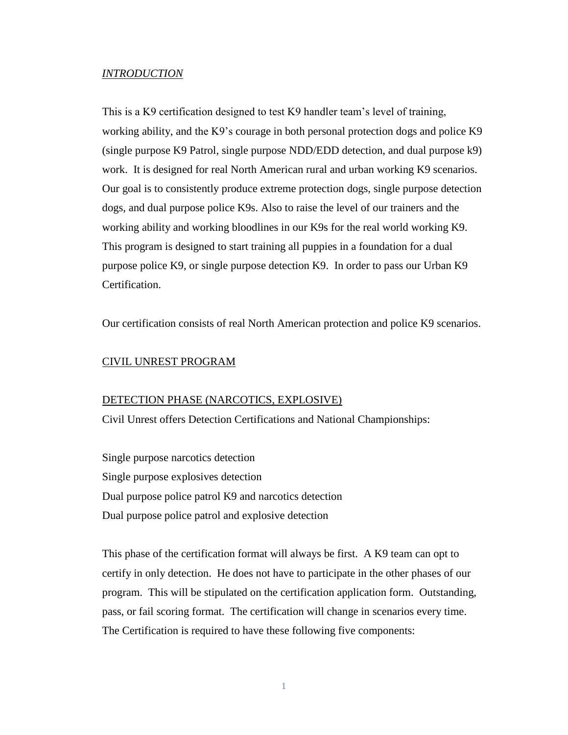#### *INTRODUCTION*

This is a K9 certification designed to test K9 handler team's level of training, working ability, and the K9's courage in both personal protection dogs and police K9 (single purpose K9 Patrol, single purpose NDD/EDD detection, and dual purpose k9) work. It is designed for real North American rural and urban working K9 scenarios. Our goal is to consistently produce extreme protection dogs, single purpose detection dogs, and dual purpose police K9s. Also to raise the level of our trainers and the working ability and working bloodlines in our K9s for the real world working K9. This program is designed to start training all puppies in a foundation for a dual purpose police K9, or single purpose detection K9. In order to pass our Urban K9 Certification.

Our certification consists of real North American protection and police K9 scenarios.

## CIVIL UNREST PROGRAM

#### DETECTION PHASE (NARCOTICS, EXPLOSIVE)

Civil Unrest offers Detection Certifications and National Championships:

Single purpose narcotics detection Single purpose explosives detection Dual purpose police patrol K9 and narcotics detection Dual purpose police patrol and explosive detection

This phase of the certification format will always be first. A K9 team can opt to certify in only detection. He does not have to participate in the other phases of our program. This will be stipulated on the certification application form. Outstanding, pass, or fail scoring format. The certification will change in scenarios every time. The Certification is required to have these following five components: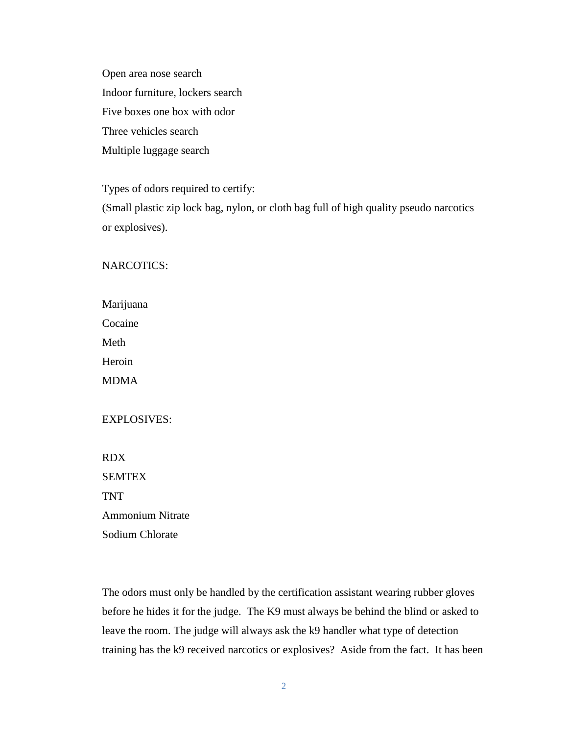Open area nose search Indoor furniture, lockers search Five boxes one box with odor Three vehicles search Multiple luggage search

Types of odors required to certify:

(Small plastic zip lock bag, nylon, or cloth bag full of high quality pseudo narcotics or explosives).

# NARCOTICS:

| Marijuana   |
|-------------|
| Cocaine     |
| Meth        |
| Heroin      |
| <b>MDMA</b> |

## EXPLOSIVES:

RDX **SEMTEX** TNT Ammonium Nitrate Sodium Chlorate

The odors must only be handled by the certification assistant wearing rubber gloves before he hides it for the judge. The K9 must always be behind the blind or asked to leave the room. The judge will always ask the k9 handler what type of detection training has the k9 received narcotics or explosives? Aside from the fact. It has been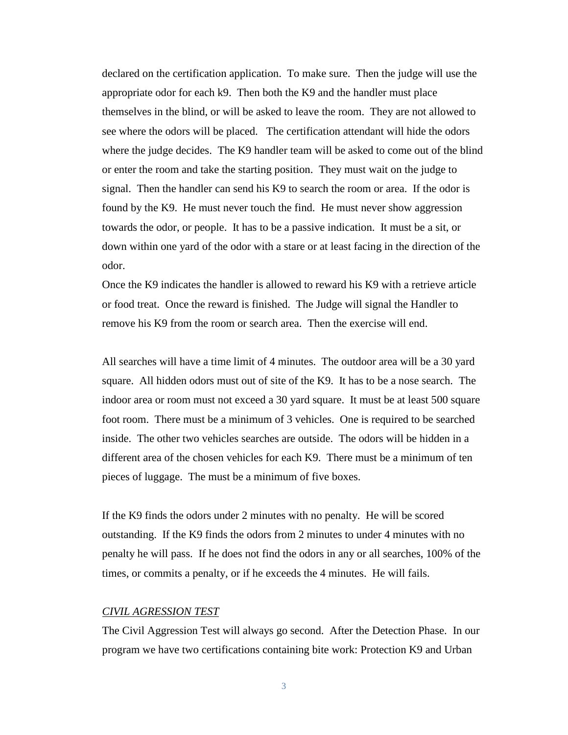declared on the certification application. To make sure. Then the judge will use the appropriate odor for each k9. Then both the K9 and the handler must place themselves in the blind, or will be asked to leave the room. They are not allowed to see where the odors will be placed. The certification attendant will hide the odors where the judge decides. The K9 handler team will be asked to come out of the blind or enter the room and take the starting position. They must wait on the judge to signal. Then the handler can send his K9 to search the room or area. If the odor is found by the K9. He must never touch the find. He must never show aggression towards the odor, or people. It has to be a passive indication. It must be a sit, or down within one yard of the odor with a stare or at least facing in the direction of the odor.

Once the K9 indicates the handler is allowed to reward his K9 with a retrieve article or food treat. Once the reward is finished. The Judge will signal the Handler to remove his K9 from the room or search area. Then the exercise will end.

All searches will have a time limit of 4 minutes. The outdoor area will be a 30 yard square. All hidden odors must out of site of the K9. It has to be a nose search. The indoor area or room must not exceed a 30 yard square. It must be at least 500 square foot room. There must be a minimum of 3 vehicles. One is required to be searched inside. The other two vehicles searches are outside. The odors will be hidden in a different area of the chosen vehicles for each K9. There must be a minimum of ten pieces of luggage. The must be a minimum of five boxes.

If the K9 finds the odors under 2 minutes with no penalty. He will be scored outstanding. If the K9 finds the odors from 2 minutes to under 4 minutes with no penalty he will pass. If he does not find the odors in any or all searches, 100% of the times, or commits a penalty, or if he exceeds the 4 minutes. He will fails.

## *CIVIL AGRESSION TEST*

The Civil Aggression Test will always go second. After the Detection Phase. In our program we have two certifications containing bite work: Protection K9 and Urban

3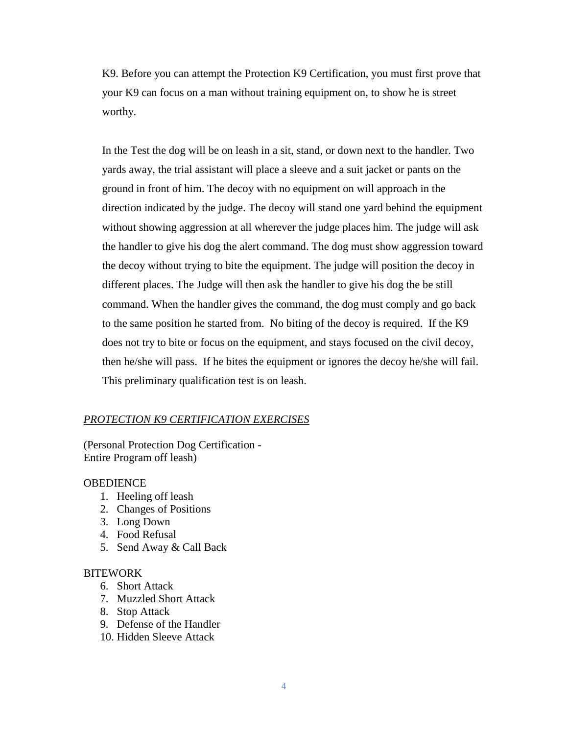K9. Before you can attempt the Protection K9 Certification, you must first prove that your K9 can focus on a man without training equipment on, to show he is street worthy.

In the Test the dog will be on leash in a sit, stand, or down next to the handler. Two yards away, the trial assistant will place a sleeve and a suit jacket or pants on the ground in front of him. The decoy with no equipment on will approach in the direction indicated by the judge. The decoy will stand one yard behind the equipment without showing aggression at all wherever the judge places him. The judge will ask the handler to give his dog the alert command. The dog must show aggression toward the decoy without trying to bite the equipment. The judge will position the decoy in different places. The Judge will then ask the handler to give his dog the be still command. When the handler gives the command, the dog must comply and go back to the same position he started from. No biting of the decoy is required. If the K9 does not try to bite or focus on the equipment, and stays focused on the civil decoy, then he/she will pass. If he bites the equipment or ignores the decoy he/she will fail. This preliminary qualification test is on leash.

#### *PROTECTION K9 CERTIFICATION EXERCISES*

(Personal Protection Dog Certification - Entire Program off leash)

#### **OBEDIENCE**

- 1. Heeling off leash
- 2. Changes of Positions
- 3. Long Down
- 4. Food Refusal
- 5. Send Away & Call Back

#### **BITEWORK**

- 6. Short Attack
- 7. Muzzled Short Attack
- 8. Stop Attack
- 9. Defense of the Handler
- 10. Hidden Sleeve Attack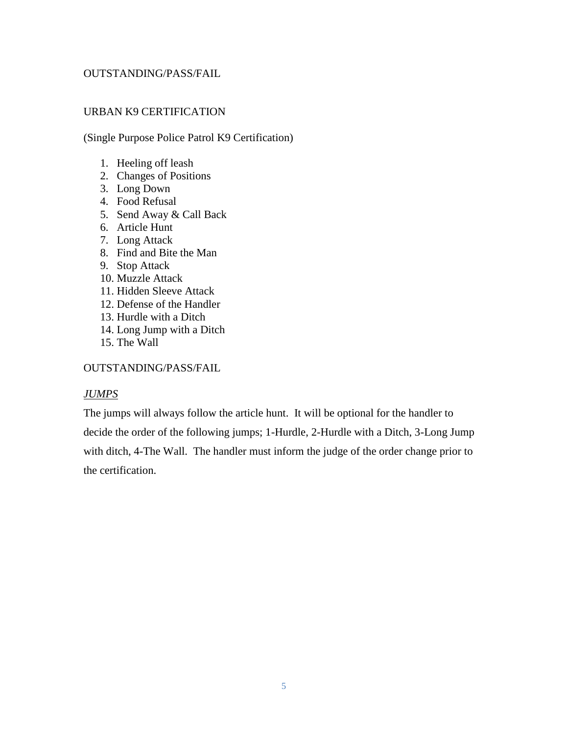## OUTSTANDING/PASS/FAIL

## URBAN K9 CERTIFICATION

(Single Purpose Police Patrol K9 Certification)

- 1. Heeling off leash
- 2. Changes of Positions
- 3. Long Down
- 4. Food Refusal
- 5. Send Away & Call Back
- 6. Article Hunt
- 7. Long Attack
- 8. Find and Bite the Man
- 9. Stop Attack
- 10. Muzzle Attack
- 11. Hidden Sleeve Attack
- 12. Defense of the Handler
- 13. Hurdle with a Ditch
- 14. Long Jump with a Ditch
- 15. The Wall

## OUTSTANDING/PASS/FAIL

## *JUMPS*

The jumps will always follow the article hunt. It will be optional for the handler to decide the order of the following jumps; 1-Hurdle, 2-Hurdle with a Ditch, 3-Long Jump with ditch, 4-The Wall. The handler must inform the judge of the order change prior to the certification.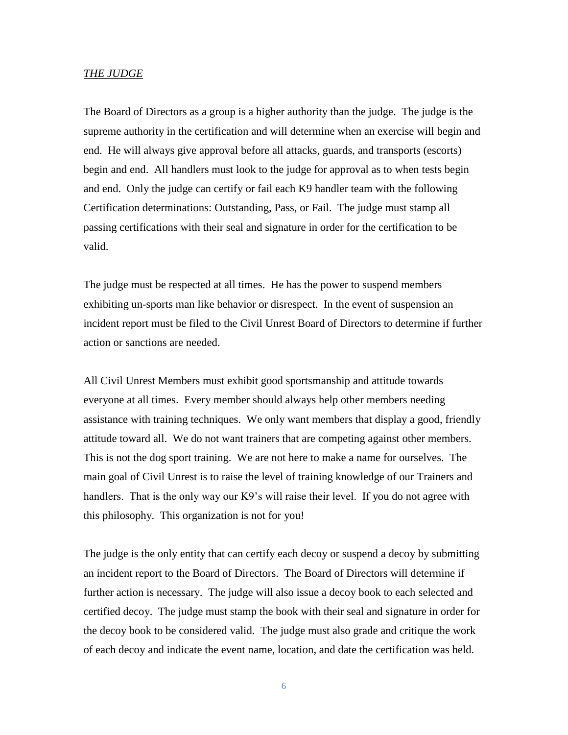#### *THE JUDGE*

The Board of Directors as a group is a higher authority than the judge. The judge is the supreme authority in the certification and will determine when an exercise will begin and end. He will always give approval before all attacks, guards, and transports (escorts) begin and end. All handlers must look to the judge for approval as to when tests begin and end. Only the judge can certify or fail each K9 handler team with the following Certification determinations: Outstanding, Pass, or Fail. The judge must stamp all passing certifications with their seal and signature in order for the certification to be valid.

The judge must be respected at all times. He has the power to suspend members exhibiting un-sports man like behavior or disrespect. In the event of suspension an incident report must be filed to the Civil Unrest Board of Directors to determine if further action or sanctions are needed.

All Civil Unrest Members must exhibit good sportsmanship and attitude towards everyone at all times. Every member should always help other members needing assistance with training techniques. We only want members that display a good, friendly attitude toward all. We do not want trainers that are competing against other members. This is not the dog sport training. We are not here to make a name for ourselves. The main goal of Civil Unrest is to raise the level of training knowledge of our Trainers and handlers. That is the only way our K9's will raise their level. If you do not agree with this philosophy. This organization is not for you!

The judge is the only entity that can certify each decoy or suspend a decoy by submitting an incident report to the Board of Directors. The Board of Directors will determine if further action is necessary. The judge will also issue a decoy book to each selected and certified decoy. The judge must stamp the book with their seal and signature in order for the decoy book to be considered valid. The judge must also grade and critique the work of each decoy and indicate the event name, location, and date the certification was held.

6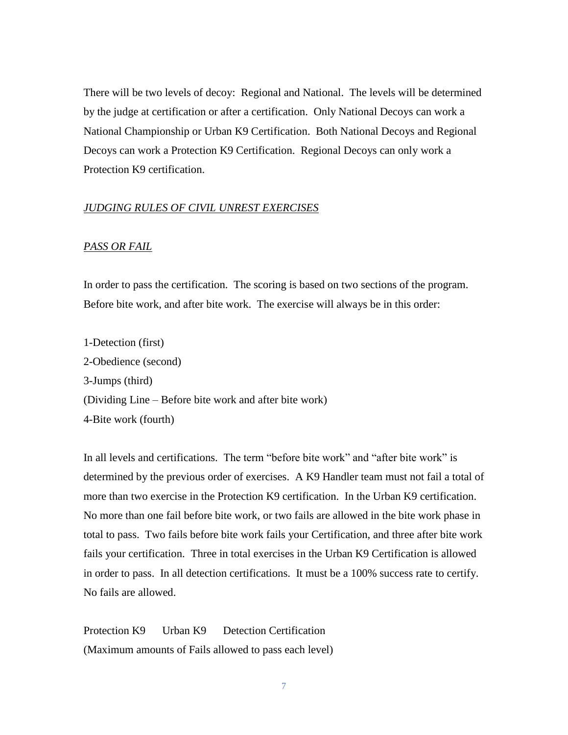There will be two levels of decoy: Regional and National. The levels will be determined by the judge at certification or after a certification. Only National Decoys can work a National Championship or Urban K9 Certification. Both National Decoys and Regional Decoys can work a Protection K9 Certification. Regional Decoys can only work a Protection K9 certification.

#### *JUDGING RULES OF CIVIL UNREST EXERCISES*

## *PASS OR FAIL*

In order to pass the certification. The scoring is based on two sections of the program. Before bite work, and after bite work. The exercise will always be in this order:

1-Detection (first) 2-Obedience (second) 3-Jumps (third) (Dividing Line – Before bite work and after bite work) 4-Bite work (fourth)

In all levels and certifications. The term "before bite work" and "after bite work" is determined by the previous order of exercises. A K9 Handler team must not fail a total of more than two exercise in the Protection K9 certification. In the Urban K9 certification. No more than one fail before bite work, or two fails are allowed in the bite work phase in total to pass. Two fails before bite work fails your Certification, and three after bite work fails your certification. Three in total exercises in the Urban K9 Certification is allowed in order to pass. In all detection certifications. It must be a 100% success rate to certify. No fails are allowed.

Protection K9 Urban K9 Detection Certification (Maximum amounts of Fails allowed to pass each level)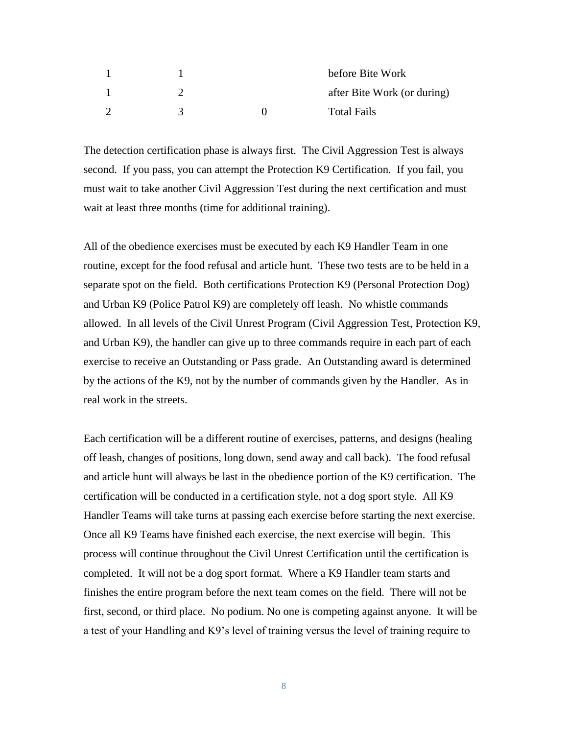|  | before Bite Work            |
|--|-----------------------------|
|  | after Bite Work (or during) |
|  | <b>Total Fails</b>          |

The detection certification phase is always first. The Civil Aggression Test is always second. If you pass, you can attempt the Protection K9 Certification. If you fail, you must wait to take another Civil Aggression Test during the next certification and must wait at least three months (time for additional training).

All of the obedience exercises must be executed by each K9 Handler Team in one routine, except for the food refusal and article hunt. These two tests are to be held in a separate spot on the field. Both certifications Protection K9 (Personal Protection Dog) and Urban K9 (Police Patrol K9) are completely off leash. No whistle commands allowed. In all levels of the Civil Unrest Program (Civil Aggression Test, Protection K9, and Urban K9), the handler can give up to three commands require in each part of each exercise to receive an Outstanding or Pass grade. An Outstanding award is determined by the actions of the K9, not by the number of commands given by the Handler. As in real work in the streets.

Each certification will be a different routine of exercises, patterns, and designs (healing off leash, changes of positions, long down, send away and call back). The food refusal and article hunt will always be last in the obedience portion of the K9 certification. The certification will be conducted in a certification style, not a dog sport style. All K9 Handler Teams will take turns at passing each exercise before starting the next exercise. Once all K9 Teams have finished each exercise, the next exercise will begin. This process will continue throughout the Civil Unrest Certification until the certification is completed. It will not be a dog sport format. Where a K9 Handler team starts and finishes the entire program before the next team comes on the field. There will not be first, second, or third place. No podium. No one is competing against anyone. It will be a test of your Handling and K9's level of training versus the level of training require to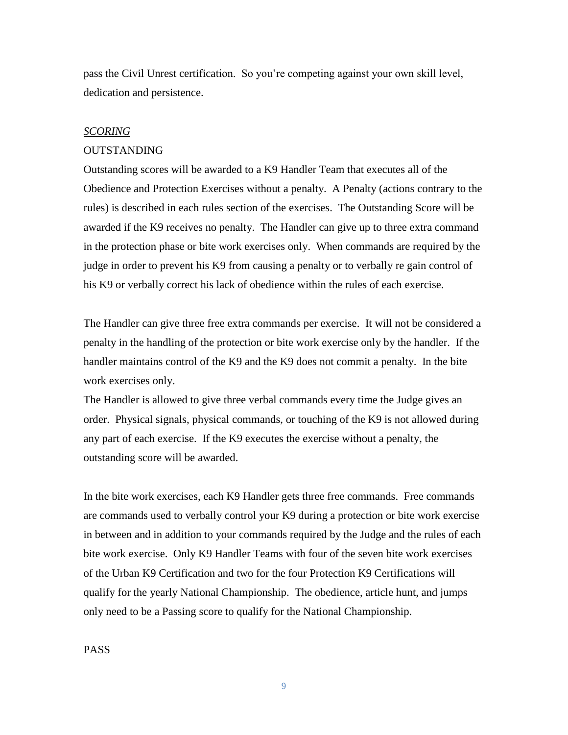pass the Civil Unrest certification. So you're competing against your own skill level, dedication and persistence.

## *SCORING*

#### OUTSTANDING

Outstanding scores will be awarded to a K9 Handler Team that executes all of the Obedience and Protection Exercises without a penalty. A Penalty (actions contrary to the rules) is described in each rules section of the exercises. The Outstanding Score will be awarded if the K9 receives no penalty. The Handler can give up to three extra command in the protection phase or bite work exercises only. When commands are required by the judge in order to prevent his K9 from causing a penalty or to verbally re gain control of his K9 or verbally correct his lack of obedience within the rules of each exercise.

The Handler can give three free extra commands per exercise. It will not be considered a penalty in the handling of the protection or bite work exercise only by the handler. If the handler maintains control of the K9 and the K9 does not commit a penalty. In the bite work exercises only.

The Handler is allowed to give three verbal commands every time the Judge gives an order. Physical signals, physical commands, or touching of the K9 is not allowed during any part of each exercise. If the K9 executes the exercise without a penalty, the outstanding score will be awarded.

In the bite work exercises, each K9 Handler gets three free commands. Free commands are commands used to verbally control your K9 during a protection or bite work exercise in between and in addition to your commands required by the Judge and the rules of each bite work exercise. Only K9 Handler Teams with four of the seven bite work exercises of the Urban K9 Certification and two for the four Protection K9 Certifications will qualify for the yearly National Championship. The obedience, article hunt, and jumps only need to be a Passing score to qualify for the National Championship.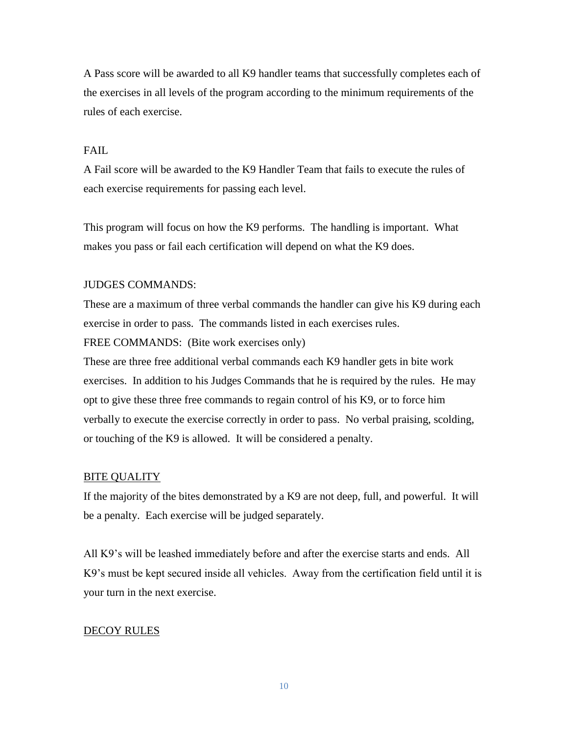A Pass score will be awarded to all K9 handler teams that successfully completes each of the exercises in all levels of the program according to the minimum requirements of the rules of each exercise.

## FAIL.

A Fail score will be awarded to the K9 Handler Team that fails to execute the rules of each exercise requirements for passing each level.

This program will focus on how the K9 performs. The handling is important. What makes you pass or fail each certification will depend on what the K9 does.

## JUDGES COMMANDS:

These are a maximum of three verbal commands the handler can give his K9 during each exercise in order to pass. The commands listed in each exercises rules. FREE COMMANDS: (Bite work exercises only)

These are three free additional verbal commands each K9 handler gets in bite work exercises. In addition to his Judges Commands that he is required by the rules. He may opt to give these three free commands to regain control of his K9, or to force him verbally to execute the exercise correctly in order to pass. No verbal praising, scolding, or touching of the K9 is allowed. It will be considered a penalty.

## BITE QUALITY

If the majority of the bites demonstrated by a K9 are not deep, full, and powerful. It will be a penalty. Each exercise will be judged separately.

All K9's will be leashed immediately before and after the exercise starts and ends. All K9's must be kept secured inside all vehicles. Away from the certification field until it is your turn in the next exercise.

## DECOY RULES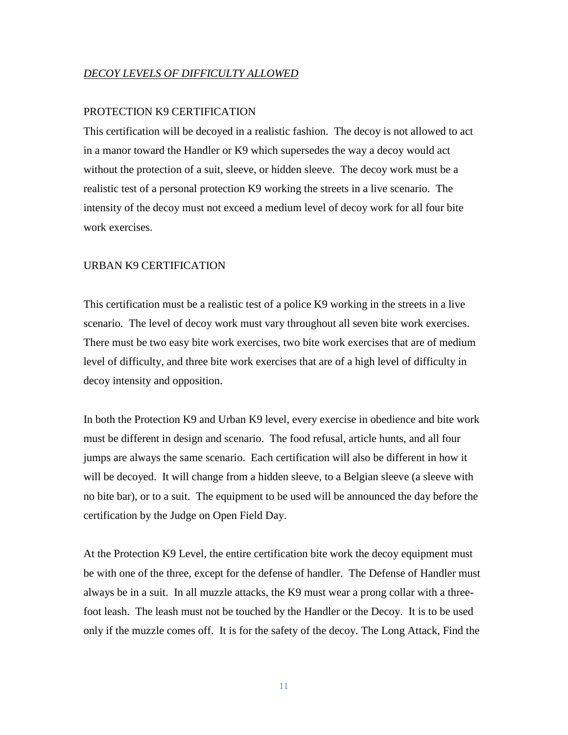## *DECOY LEVELS OF DIFFICULTY ALLOWED*

## PROTECTION K9 CERTIFICATION

This certification will be decoyed in a realistic fashion. The decoy is not allowed to act in a manor toward the Handler or K9 which supersedes the way a decoy would act without the protection of a suit, sleeve, or hidden sleeve. The decoy work must be a realistic test of a personal protection K9 working the streets in a live scenario. The intensity of the decoy must not exceed a medium level of decoy work for all four bite work exercises.

#### URBAN K9 CERTIFICATION

This certification must be a realistic test of a police K9 working in the streets in a live scenario. The level of decoy work must vary throughout all seven bite work exercises. There must be two easy bite work exercises, two bite work exercises that are of medium level of difficulty, and three bite work exercises that are of a high level of difficulty in decoy intensity and opposition.

In both the Protection K9 and Urban K9 level, every exercise in obedience and bite work must be different in design and scenario. The food refusal, article hunts, and all four jumps are always the same scenario. Each certification will also be different in how it will be decoyed. It will change from a hidden sleeve, to a Belgian sleeve (a sleeve with no bite bar), or to a suit. The equipment to be used will be announced the day before the certification by the Judge on Open Field Day.

At the Protection K9 Level, the entire certification bite work the decoy equipment must be with one of the three, except for the defense of handler. The Defense of Handler must always be in a suit. In all muzzle attacks, the K9 must wear a prong collar with a threefoot leash. The leash must not be touched by the Handler or the Decoy. It is to be used only if the muzzle comes off. It is for the safety of the decoy. The Long Attack, Find the

11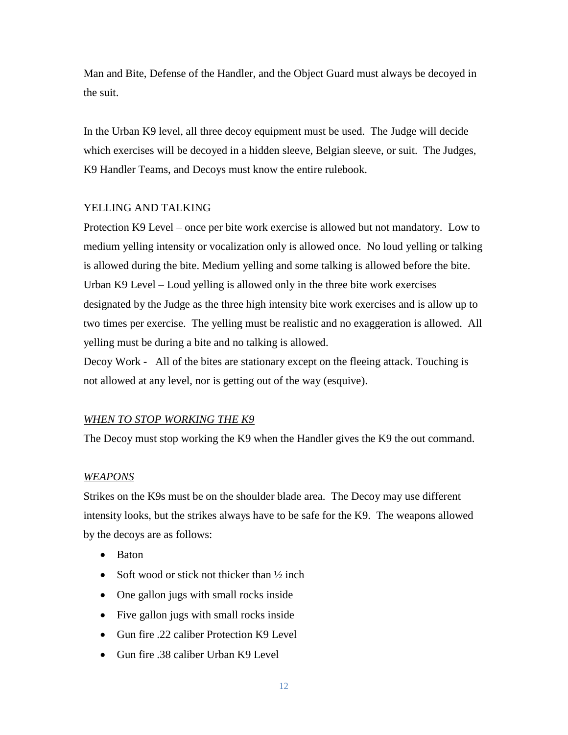Man and Bite, Defense of the Handler, and the Object Guard must always be decoyed in the suit.

In the Urban K9 level, all three decoy equipment must be used. The Judge will decide which exercises will be decoyed in a hidden sleeve, Belgian sleeve, or suit. The Judges, K9 Handler Teams, and Decoys must know the entire rulebook.

## YELLING AND TALKING

Protection K9 Level – once per bite work exercise is allowed but not mandatory. Low to medium yelling intensity or vocalization only is allowed once. No loud yelling or talking is allowed during the bite. Medium yelling and some talking is allowed before the bite. Urban K9 Level – Loud yelling is allowed only in the three bite work exercises designated by the Judge as the three high intensity bite work exercises and is allow up to two times per exercise. The yelling must be realistic and no exaggeration is allowed. All yelling must be during a bite and no talking is allowed.

Decoy Work - All of the bites are stationary except on the fleeing attack. Touching is not allowed at any level, nor is getting out of the way (esquive).

## *WHEN TO STOP WORKING THE K9*

The Decoy must stop working the K9 when the Handler gives the K9 the out command.

#### *WEAPONS*

Strikes on the K9s must be on the shoulder blade area. The Decoy may use different intensity looks, but the strikes always have to be safe for the K9. The weapons allowed by the decoys are as follows:

- Baton
- Soft wood or stick not thicker than  $\frac{1}{2}$  inch
- One gallon jugs with small rocks inside
- Five gallon jugs with small rocks inside
- Gun fire 22 caliber Protection K9 Level
- Gun fire .38 caliber Urban K9 Level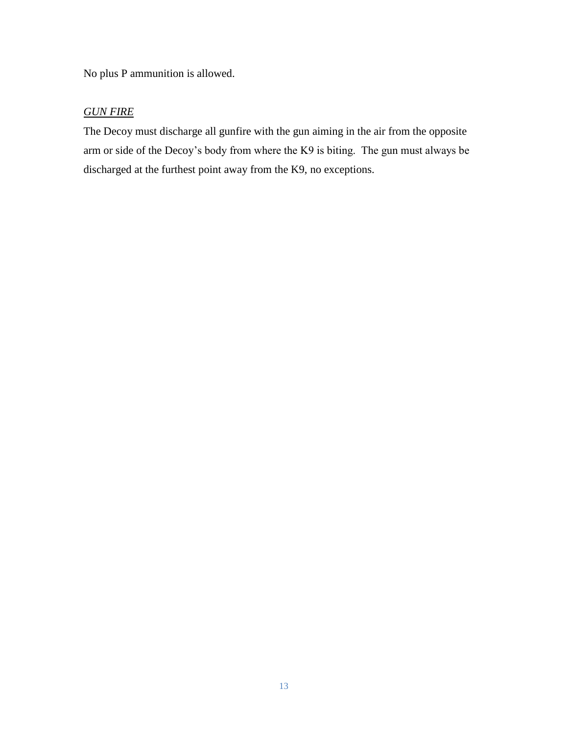No plus P ammunition is allowed.

# *GUN FIRE*

The Decoy must discharge all gunfire with the gun aiming in the air from the opposite arm or side of the Decoy's body from where the K9 is biting. The gun must always be discharged at the furthest point away from the K9, no exceptions.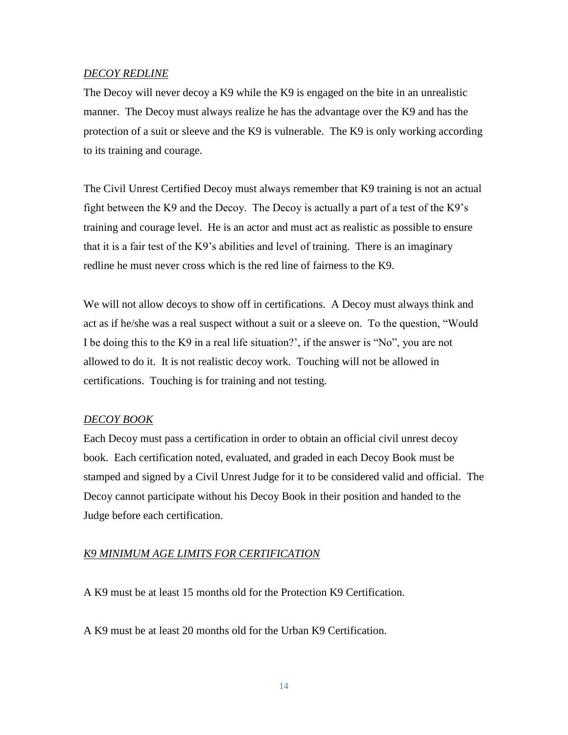## *DECOY REDLINE*

The Decoy will never decoy a K9 while the K9 is engaged on the bite in an unrealistic manner. The Decoy must always realize he has the advantage over the K9 and has the protection of a suit or sleeve and the K9 is vulnerable. The K9 is only working according to its training and courage.

The Civil Unrest Certified Decoy must always remember that K9 training is not an actual fight between the K9 and the Decoy. The Decoy is actually a part of a test of the K9's training and courage level. He is an actor and must act as realistic as possible to ensure that it is a fair test of the K9's abilities and level of training. There is an imaginary redline he must never cross which is the red line of fairness to the K9.

We will not allow decoys to show off in certifications. A Decoy must always think and act as if he/she was a real suspect without a suit or a sleeve on. To the question, "Would I be doing this to the K9 in a real life situation?', if the answer is "No", you are not allowed to do it. It is not realistic decoy work. Touching will not be allowed in certifications. Touching is for training and not testing.

## *DECOY BOOK*

Each Decoy must pass a certification in order to obtain an official civil unrest decoy book. Each certification noted, evaluated, and graded in each Decoy Book must be stamped and signed by a Civil Unrest Judge for it to be considered valid and official. The Decoy cannot participate without his Decoy Book in their position and handed to the Judge before each certification.

## *K9 MINIMUM AGE LIMITS FOR CERTIFICATION*

A K9 must be at least 15 months old for the Protection K9 Certification.

A K9 must be at least 20 months old for the Urban K9 Certification.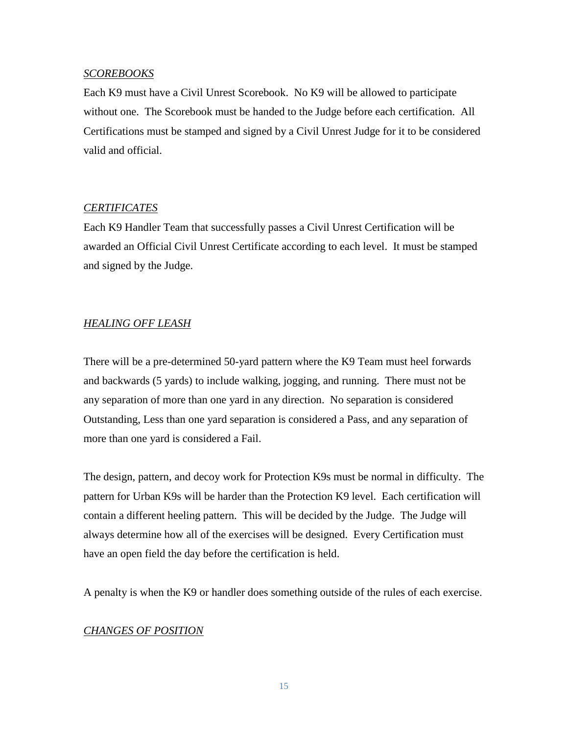## *SCOREBOOKS*

Each K9 must have a Civil Unrest Scorebook. No K9 will be allowed to participate without one. The Scorebook must be handed to the Judge before each certification. All Certifications must be stamped and signed by a Civil Unrest Judge for it to be considered valid and official.

## *CERTIFICATES*

Each K9 Handler Team that successfully passes a Civil Unrest Certification will be awarded an Official Civil Unrest Certificate according to each level. It must be stamped and signed by the Judge.

# *HEALING OFF LEASH*

There will be a pre-determined 50-yard pattern where the K9 Team must heel forwards and backwards (5 yards) to include walking, jogging, and running. There must not be any separation of more than one yard in any direction. No separation is considered Outstanding, Less than one yard separation is considered a Pass, and any separation of more than one yard is considered a Fail.

The design, pattern, and decoy work for Protection K9s must be normal in difficulty. The pattern for Urban K9s will be harder than the Protection K9 level. Each certification will contain a different heeling pattern. This will be decided by the Judge. The Judge will always determine how all of the exercises will be designed. Every Certification must have an open field the day before the certification is held.

A penalty is when the K9 or handler does something outside of the rules of each exercise.

## *CHANGES OF POSITION*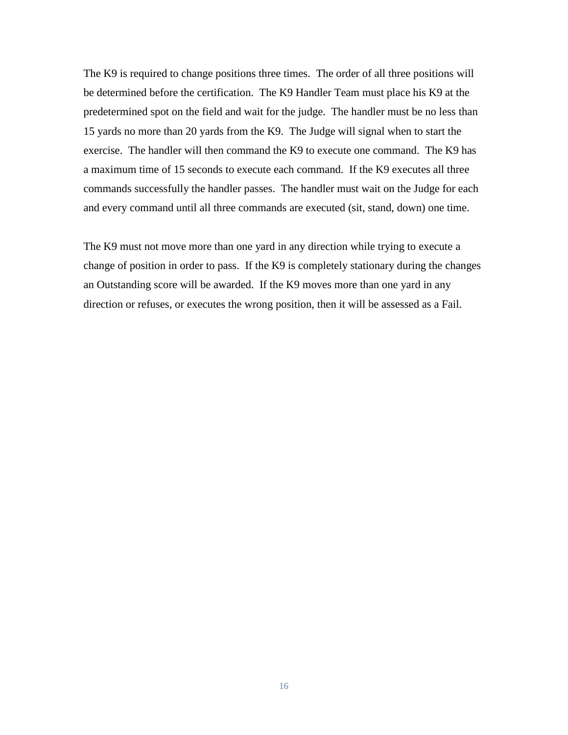The K9 is required to change positions three times. The order of all three positions will be determined before the certification. The K9 Handler Team must place his K9 at the predetermined spot on the field and wait for the judge. The handler must be no less than 15 yards no more than 20 yards from the K9. The Judge will signal when to start the exercise. The handler will then command the K9 to execute one command. The K9 has a maximum time of 15 seconds to execute each command. If the K9 executes all three commands successfully the handler passes. The handler must wait on the Judge for each and every command until all three commands are executed (sit, stand, down) one time.

The K9 must not move more than one yard in any direction while trying to execute a change of position in order to pass. If the K9 is completely stationary during the changes an Outstanding score will be awarded. If the K9 moves more than one yard in any direction or refuses, or executes the wrong position, then it will be assessed as a Fail.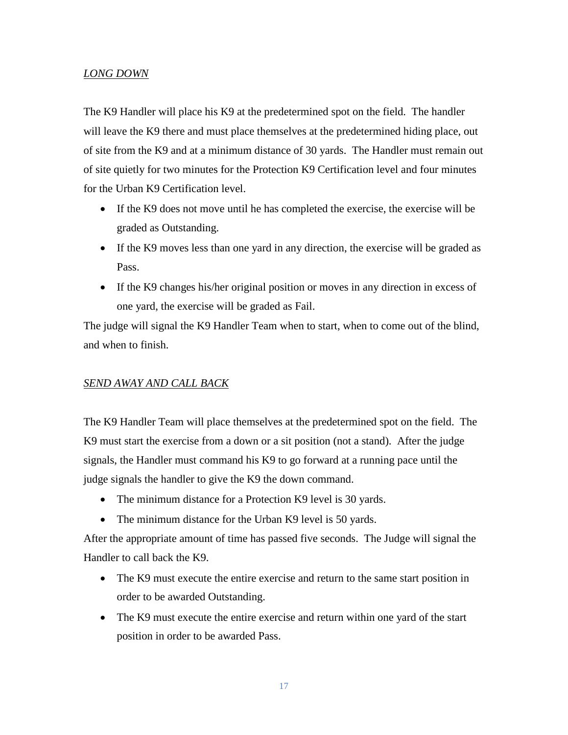## *LONG DOWN*

The K9 Handler will place his K9 at the predetermined spot on the field. The handler will leave the K9 there and must place themselves at the predetermined hiding place, out of site from the K9 and at a minimum distance of 30 yards. The Handler must remain out of site quietly for two minutes for the Protection K9 Certification level and four minutes for the Urban K9 Certification level.

- If the K9 does not move until he has completed the exercise, the exercise will be graded as Outstanding.
- If the K9 moves less than one yard in any direction, the exercise will be graded as Pass.
- If the K9 changes his/her original position or moves in any direction in excess of one yard, the exercise will be graded as Fail.

The judge will signal the K9 Handler Team when to start, when to come out of the blind, and when to finish.

## *SEND AWAY AND CALL BACK*

The K9 Handler Team will place themselves at the predetermined spot on the field. The K9 must start the exercise from a down or a sit position (not a stand). After the judge signals, the Handler must command his K9 to go forward at a running pace until the judge signals the handler to give the K9 the down command.

- The minimum distance for a Protection K9 level is 30 yards.
- The minimum distance for the Urban K9 level is 50 yards.

After the appropriate amount of time has passed five seconds. The Judge will signal the Handler to call back the K9.

- The K9 must execute the entire exercise and return to the same start position in order to be awarded Outstanding.
- The K9 must execute the entire exercise and return within one yard of the start position in order to be awarded Pass.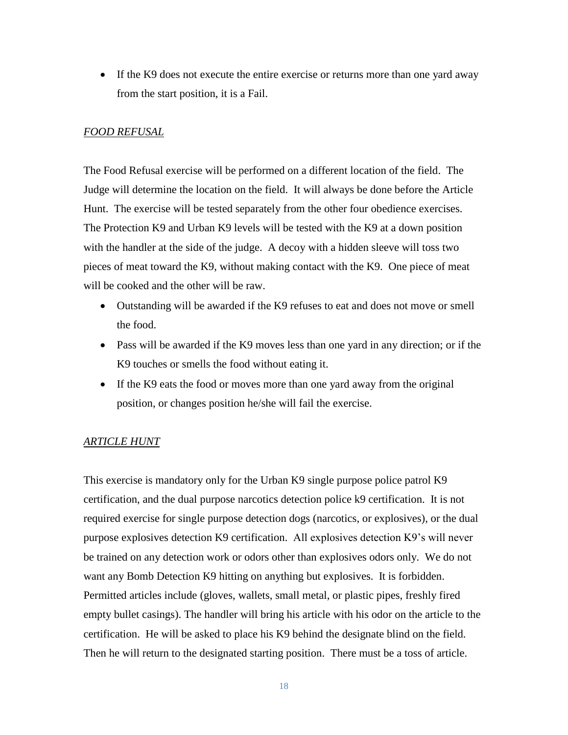• If the K9 does not execute the entire exercise or returns more than one yard away from the start position, it is a Fail.

## *FOOD REFUSAL*

The Food Refusal exercise will be performed on a different location of the field. The Judge will determine the location on the field. It will always be done before the Article Hunt. The exercise will be tested separately from the other four obedience exercises. The Protection K9 and Urban K9 levels will be tested with the K9 at a down position with the handler at the side of the judge. A decoy with a hidden sleeve will toss two pieces of meat toward the K9, without making contact with the K9. One piece of meat will be cooked and the other will be raw.

- Outstanding will be awarded if the K9 refuses to eat and does not move or smell the food.
- Pass will be awarded if the K9 moves less than one yard in any direction; or if the K9 touches or smells the food without eating it.
- If the K9 eats the food or moves more than one yard away from the original position, or changes position he/she will fail the exercise.

## *ARTICLE HUNT*

This exercise is mandatory only for the Urban K9 single purpose police patrol K9 certification, and the dual purpose narcotics detection police k9 certification. It is not required exercise for single purpose detection dogs (narcotics, or explosives), or the dual purpose explosives detection K9 certification. All explosives detection K9's will never be trained on any detection work or odors other than explosives odors only. We do not want any Bomb Detection K9 hitting on anything but explosives. It is forbidden. Permitted articles include (gloves, wallets, small metal, or plastic pipes, freshly fired empty bullet casings). The handler will bring his article with his odor on the article to the certification. He will be asked to place his K9 behind the designate blind on the field. Then he will return to the designated starting position. There must be a toss of article.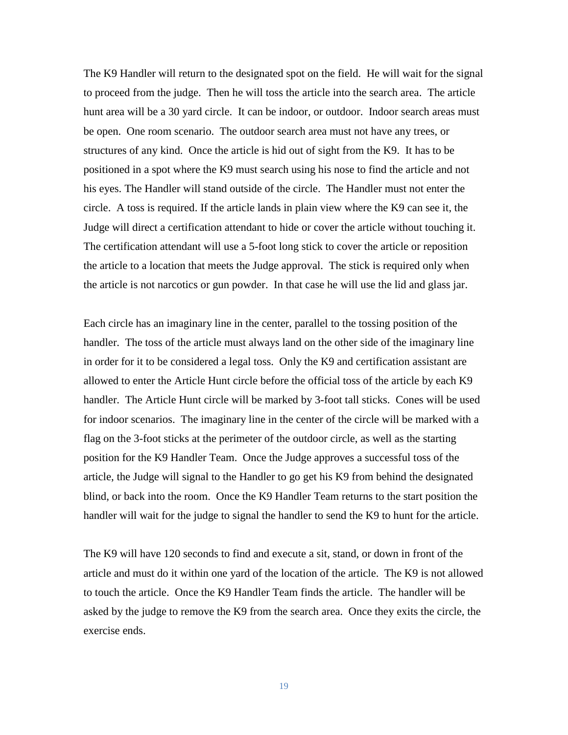The K9 Handler will return to the designated spot on the field. He will wait for the signal to proceed from the judge. Then he will toss the article into the search area. The article hunt area will be a 30 yard circle. It can be indoor, or outdoor. Indoor search areas must be open. One room scenario. The outdoor search area must not have any trees, or structures of any kind. Once the article is hid out of sight from the K9. It has to be positioned in a spot where the K9 must search using his nose to find the article and not his eyes. The Handler will stand outside of the circle. The Handler must not enter the circle. A toss is required. If the article lands in plain view where the K9 can see it, the Judge will direct a certification attendant to hide or cover the article without touching it. The certification attendant will use a 5-foot long stick to cover the article or reposition the article to a location that meets the Judge approval. The stick is required only when the article is not narcotics or gun powder. In that case he will use the lid and glass jar.

Each circle has an imaginary line in the center, parallel to the tossing position of the handler. The toss of the article must always land on the other side of the imaginary line in order for it to be considered a legal toss. Only the K9 and certification assistant are allowed to enter the Article Hunt circle before the official toss of the article by each K9 handler. The Article Hunt circle will be marked by 3-foot tall sticks. Cones will be used for indoor scenarios. The imaginary line in the center of the circle will be marked with a flag on the 3-foot sticks at the perimeter of the outdoor circle, as well as the starting position for the K9 Handler Team. Once the Judge approves a successful toss of the article, the Judge will signal to the Handler to go get his K9 from behind the designated blind, or back into the room. Once the K9 Handler Team returns to the start position the handler will wait for the judge to signal the handler to send the K9 to hunt for the article.

The K9 will have 120 seconds to find and execute a sit, stand, or down in front of the article and must do it within one yard of the location of the article. The K9 is not allowed to touch the article. Once the K9 Handler Team finds the article. The handler will be asked by the judge to remove the K9 from the search area. Once they exits the circle, the exercise ends.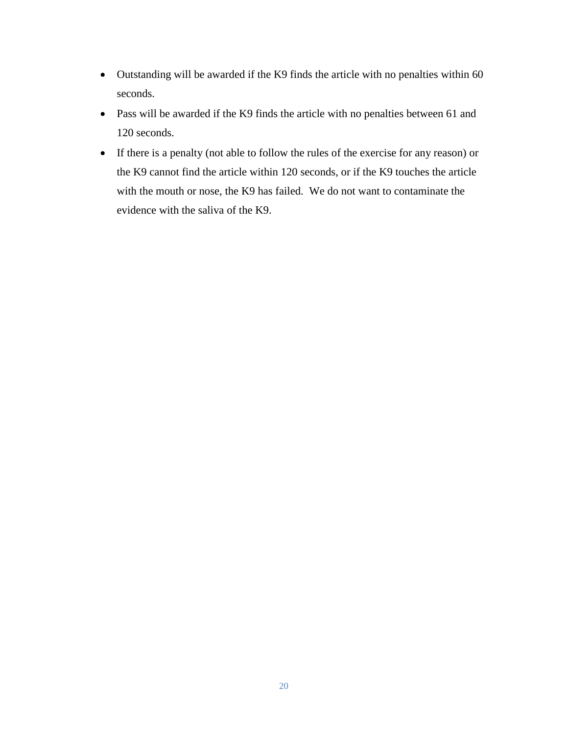- Outstanding will be awarded if the K9 finds the article with no penalties within 60 seconds.
- Pass will be awarded if the K9 finds the article with no penalties between 61 and 120 seconds.
- If there is a penalty (not able to follow the rules of the exercise for any reason) or the K9 cannot find the article within 120 seconds, or if the K9 touches the article with the mouth or nose, the K9 has failed. We do not want to contaminate the evidence with the saliva of the K9.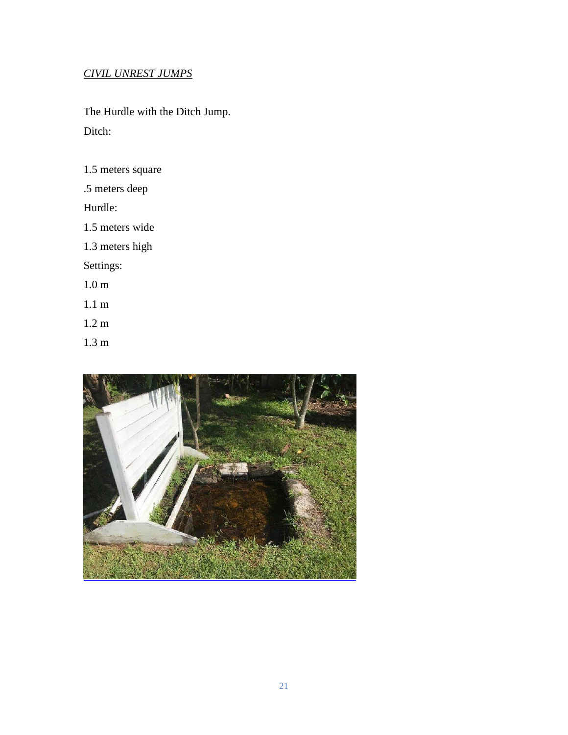# *CIVIL UNREST JUMPS*

The Hurdle with the Ditch Jump. Ditch:

1.5 meters square

.5 meters deep

Hurdle:

1.5 meters wide

1.3 meters high

Settings:

1.0 m

1.1 m

1.2 m

1.3 m

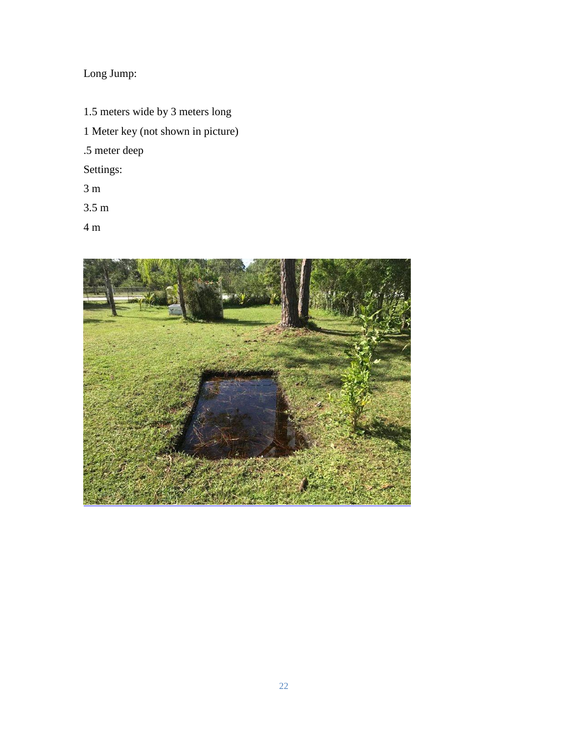# Long Jump:

1.5 meters wide by 3 meters long 1 Meter key (not shown in picture) .5 meter deep Settings:

- 3 m
- 3.5 m
- 4 m

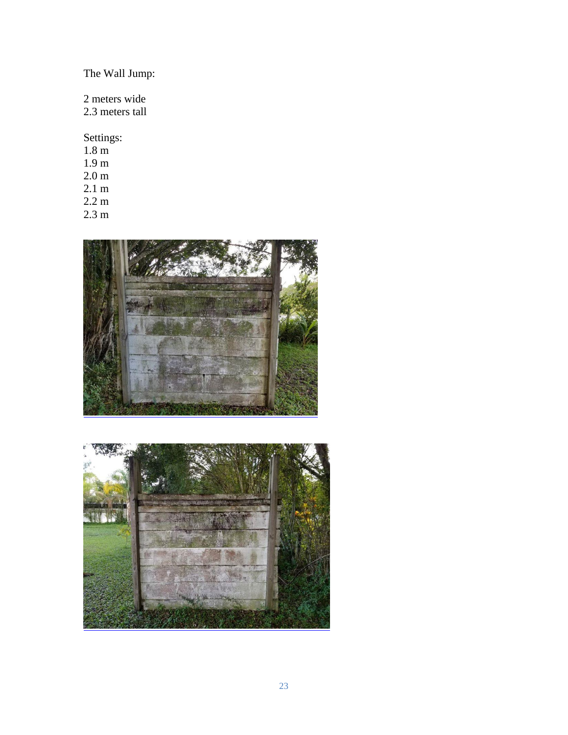# The Wall Jump:

2 meters wide

2.3 meters tall

Settings:

- 1.8 m
- 1.9 m
- 2.0 m 2.1 m
- 2.2 m
- 





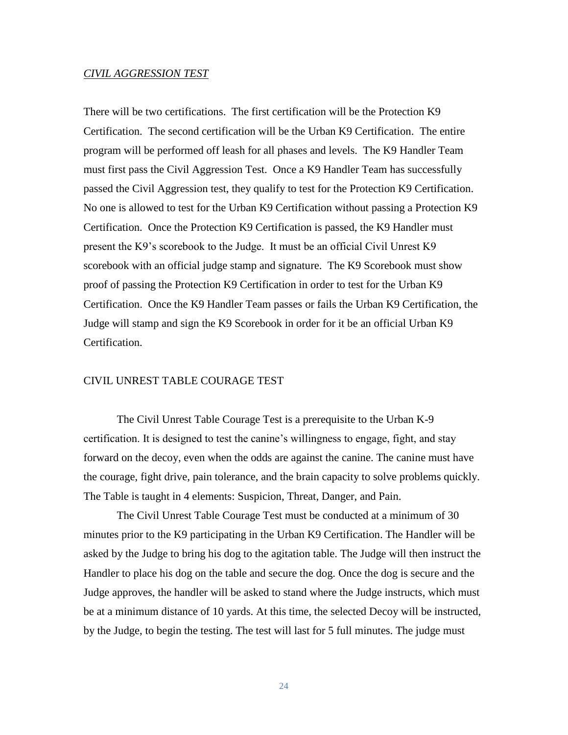#### *CIVIL AGGRESSION TEST*

There will be two certifications. The first certification will be the Protection K9 Certification. The second certification will be the Urban K9 Certification. The entire program will be performed off leash for all phases and levels. The K9 Handler Team must first pass the Civil Aggression Test. Once a K9 Handler Team has successfully passed the Civil Aggression test, they qualify to test for the Protection K9 Certification. No one is allowed to test for the Urban K9 Certification without passing a Protection K9 Certification. Once the Protection K9 Certification is passed, the K9 Handler must present the K9's scorebook to the Judge. It must be an official Civil Unrest K9 scorebook with an official judge stamp and signature. The K9 Scorebook must show proof of passing the Protection K9 Certification in order to test for the Urban K9 Certification. Once the K9 Handler Team passes or fails the Urban K9 Certification, the Judge will stamp and sign the K9 Scorebook in order for it be an official Urban K9 Certification.

#### CIVIL UNREST TABLE COURAGE TEST

The Civil Unrest Table Courage Test is a prerequisite to the Urban K-9 certification. It is designed to test the canine's willingness to engage, fight, and stay forward on the decoy, even when the odds are against the canine. The canine must have the courage, fight drive, pain tolerance, and the brain capacity to solve problems quickly. The Table is taught in 4 elements: Suspicion, Threat, Danger, and Pain.

The Civil Unrest Table Courage Test must be conducted at a minimum of 30 minutes prior to the K9 participating in the Urban K9 Certification. The Handler will be asked by the Judge to bring his dog to the agitation table. The Judge will then instruct the Handler to place his dog on the table and secure the dog. Once the dog is secure and the Judge approves, the handler will be asked to stand where the Judge instructs, which must be at a minimum distance of 10 yards. At this time, the selected Decoy will be instructed, by the Judge, to begin the testing. The test will last for 5 full minutes. The judge must

24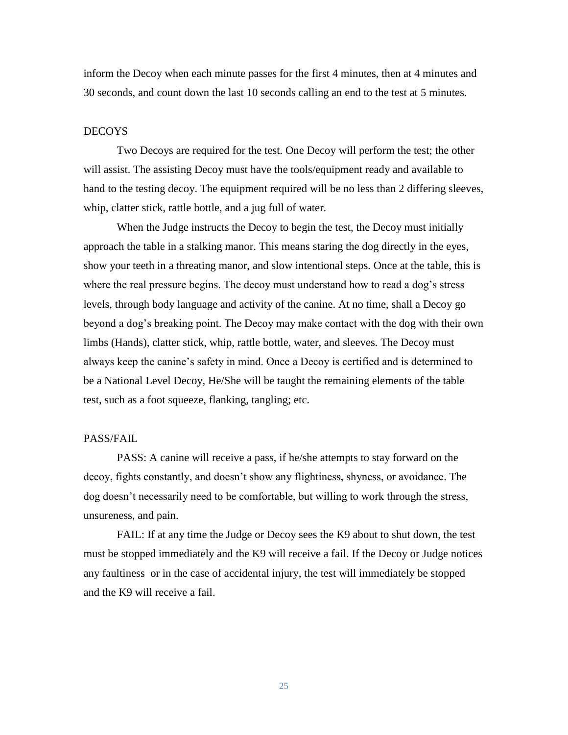inform the Decoy when each minute passes for the first 4 minutes, then at 4 minutes and 30 seconds, and count down the last 10 seconds calling an end to the test at 5 minutes.

#### DECOYS

Two Decoys are required for the test. One Decoy will perform the test; the other will assist. The assisting Decoy must have the tools/equipment ready and available to hand to the testing decoy. The equipment required will be no less than 2 differing sleeves, whip, clatter stick, rattle bottle, and a jug full of water.

When the Judge instructs the Decoy to begin the test, the Decoy must initially approach the table in a stalking manor. This means staring the dog directly in the eyes, show your teeth in a threating manor, and slow intentional steps. Once at the table, this is where the real pressure begins. The decoy must understand how to read a dog's stress levels, through body language and activity of the canine. At no time, shall a Decoy go beyond a dog's breaking point. The Decoy may make contact with the dog with their own limbs (Hands), clatter stick, whip, rattle bottle, water, and sleeves. The Decoy must always keep the canine's safety in mind. Once a Decoy is certified and is determined to be a National Level Decoy, He/She will be taught the remaining elements of the table test, such as a foot squeeze, flanking, tangling; etc.

#### PASS/FAIL

PASS: A canine will receive a pass, if he/she attempts to stay forward on the decoy, fights constantly, and doesn't show any flightiness, shyness, or avoidance. The dog doesn't necessarily need to be comfortable, but willing to work through the stress, unsureness, and pain.

FAIL: If at any time the Judge or Decoy sees the K9 about to shut down, the test must be stopped immediately and the K9 will receive a fail. If the Decoy or Judge notices any faultiness or in the case of accidental injury, the test will immediately be stopped and the K9 will receive a fail.

25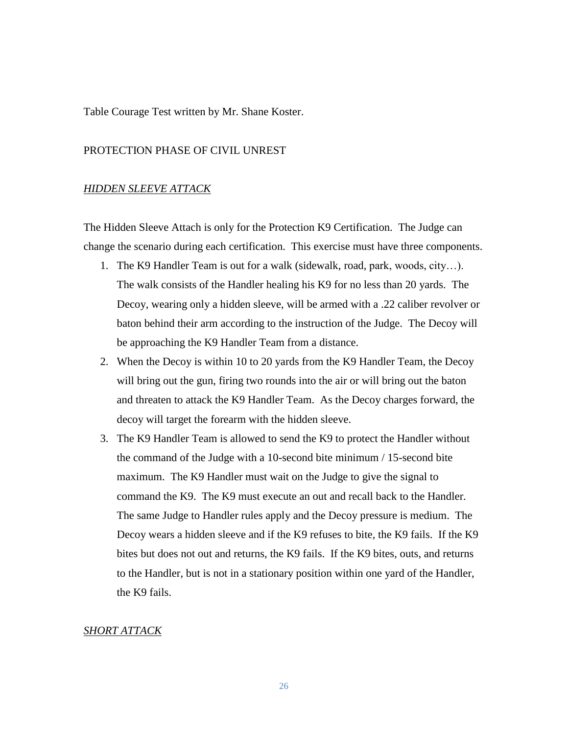Table Courage Test written by Mr. Shane Koster.

#### PROTECTION PHASE OF CIVIL UNREST

#### *HIDDEN SLEEVE ATTACK*

The Hidden Sleeve Attach is only for the Protection K9 Certification. The Judge can change the scenario during each certification. This exercise must have three components.

- 1. The K9 Handler Team is out for a walk (sidewalk, road, park, woods, city…). The walk consists of the Handler healing his K9 for no less than 20 yards. The Decoy, wearing only a hidden sleeve, will be armed with a .22 caliber revolver or baton behind their arm according to the instruction of the Judge. The Decoy will be approaching the K9 Handler Team from a distance.
- 2. When the Decoy is within 10 to 20 yards from the K9 Handler Team, the Decoy will bring out the gun, firing two rounds into the air or will bring out the baton and threaten to attack the K9 Handler Team. As the Decoy charges forward, the decoy will target the forearm with the hidden sleeve.
- 3. The K9 Handler Team is allowed to send the K9 to protect the Handler without the command of the Judge with a 10-second bite minimum / 15-second bite maximum. The K9 Handler must wait on the Judge to give the signal to command the K9. The K9 must execute an out and recall back to the Handler. The same Judge to Handler rules apply and the Decoy pressure is medium. The Decoy wears a hidden sleeve and if the K9 refuses to bite, the K9 fails. If the K9 bites but does not out and returns, the K9 fails. If the K9 bites, outs, and returns to the Handler, but is not in a stationary position within one yard of the Handler, the K9 fails.

## *SHORT ATTACK*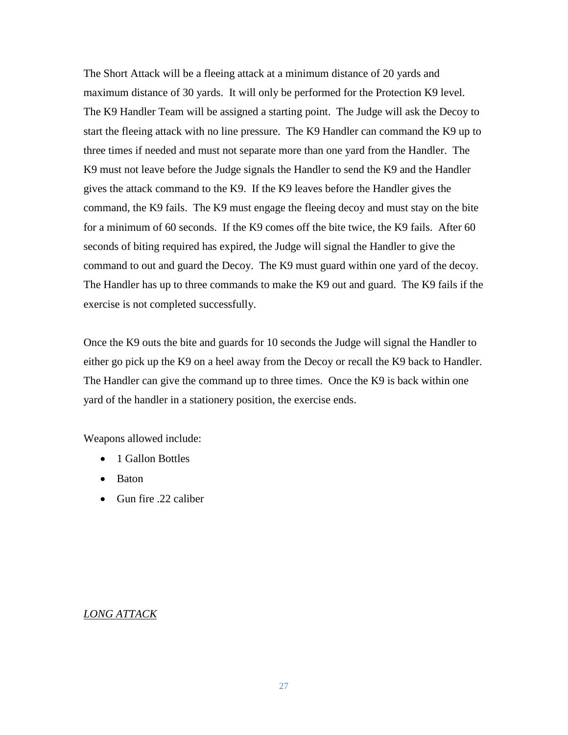The Short Attack will be a fleeing attack at a minimum distance of 20 yards and maximum distance of 30 yards. It will only be performed for the Protection K9 level. The K9 Handler Team will be assigned a starting point. The Judge will ask the Decoy to start the fleeing attack with no line pressure. The K9 Handler can command the K9 up to three times if needed and must not separate more than one yard from the Handler. The K9 must not leave before the Judge signals the Handler to send the K9 and the Handler gives the attack command to the K9. If the K9 leaves before the Handler gives the command, the K9 fails. The K9 must engage the fleeing decoy and must stay on the bite for a minimum of 60 seconds. If the K9 comes off the bite twice, the K9 fails. After 60 seconds of biting required has expired, the Judge will signal the Handler to give the command to out and guard the Decoy. The K9 must guard within one yard of the decoy. The Handler has up to three commands to make the K9 out and guard. The K9 fails if the exercise is not completed successfully.

Once the K9 outs the bite and guards for 10 seconds the Judge will signal the Handler to either go pick up the K9 on a heel away from the Decoy or recall the K9 back to Handler. The Handler can give the command up to three times. Once the K9 is back within one yard of the handler in a stationery position, the exercise ends.

Weapons allowed include:

- 1 Gallon Bottles
- Baton
- Gun fire .22 caliber

## *LONG ATTACK*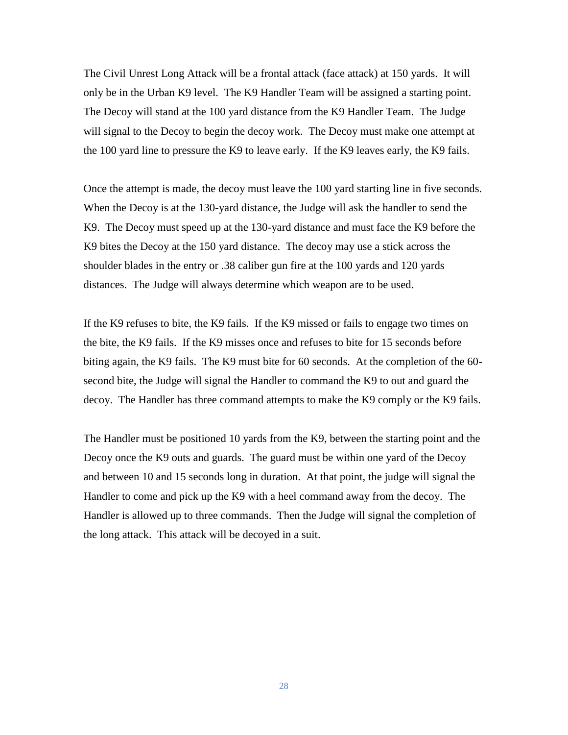The Civil Unrest Long Attack will be a frontal attack (face attack) at 150 yards. It will only be in the Urban K9 level. The K9 Handler Team will be assigned a starting point. The Decoy will stand at the 100 yard distance from the K9 Handler Team. The Judge will signal to the Decoy to begin the decoy work. The Decoy must make one attempt at the 100 yard line to pressure the K9 to leave early. If the K9 leaves early, the K9 fails.

Once the attempt is made, the decoy must leave the 100 yard starting line in five seconds. When the Decoy is at the 130-yard distance, the Judge will ask the handler to send the K9. The Decoy must speed up at the 130-yard distance and must face the K9 before the K9 bites the Decoy at the 150 yard distance. The decoy may use a stick across the shoulder blades in the entry or .38 caliber gun fire at the 100 yards and 120 yards distances. The Judge will always determine which weapon are to be used.

If the K9 refuses to bite, the K9 fails. If the K9 missed or fails to engage two times on the bite, the K9 fails. If the K9 misses once and refuses to bite for 15 seconds before biting again, the K9 fails. The K9 must bite for 60 seconds. At the completion of the 60 second bite, the Judge will signal the Handler to command the K9 to out and guard the decoy. The Handler has three command attempts to make the K9 comply or the K9 fails.

The Handler must be positioned 10 yards from the K9, between the starting point and the Decoy once the K9 outs and guards. The guard must be within one yard of the Decoy and between 10 and 15 seconds long in duration. At that point, the judge will signal the Handler to come and pick up the K9 with a heel command away from the decoy. The Handler is allowed up to three commands. Then the Judge will signal the completion of the long attack. This attack will be decoyed in a suit.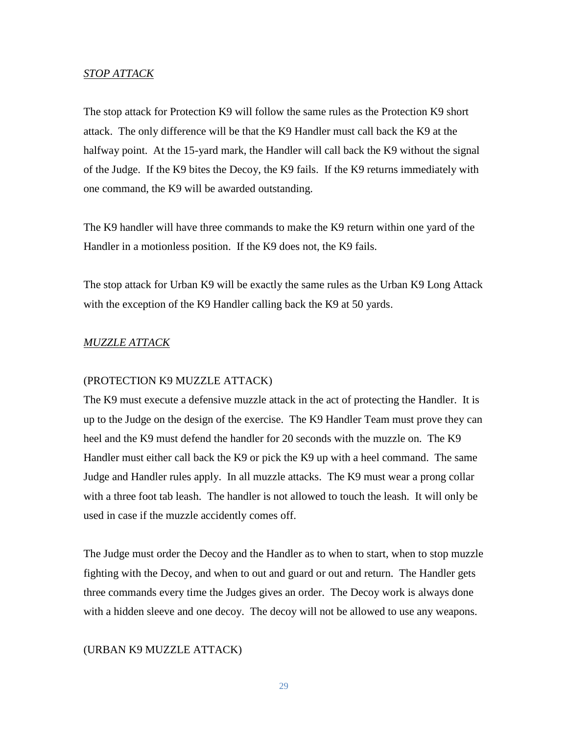#### *STOP ATTACK*

The stop attack for Protection K9 will follow the same rules as the Protection K9 short attack. The only difference will be that the K9 Handler must call back the K9 at the halfway point. At the 15-yard mark, the Handler will call back the K9 without the signal of the Judge. If the K9 bites the Decoy, the K9 fails. If the K9 returns immediately with one command, the K9 will be awarded outstanding.

The K9 handler will have three commands to make the K9 return within one yard of the Handler in a motionless position. If the K9 does not, the K9 fails.

The stop attack for Urban K9 will be exactly the same rules as the Urban K9 Long Attack with the exception of the K9 Handler calling back the K9 at 50 yards.

## *MUZZLE ATTACK*

#### (PROTECTION K9 MUZZLE ATTACK)

The K9 must execute a defensive muzzle attack in the act of protecting the Handler. It is up to the Judge on the design of the exercise. The K9 Handler Team must prove they can heel and the K9 must defend the handler for 20 seconds with the muzzle on. The K9 Handler must either call back the K9 or pick the K9 up with a heel command. The same Judge and Handler rules apply. In all muzzle attacks. The K9 must wear a prong collar with a three foot tab leash. The handler is not allowed to touch the leash. It will only be used in case if the muzzle accidently comes off.

The Judge must order the Decoy and the Handler as to when to start, when to stop muzzle fighting with the Decoy, and when to out and guard or out and return. The Handler gets three commands every time the Judges gives an order. The Decoy work is always done with a hidden sleeve and one decoy. The decoy will not be allowed to use any weapons.

#### (URBAN K9 MUZZLE ATTACK)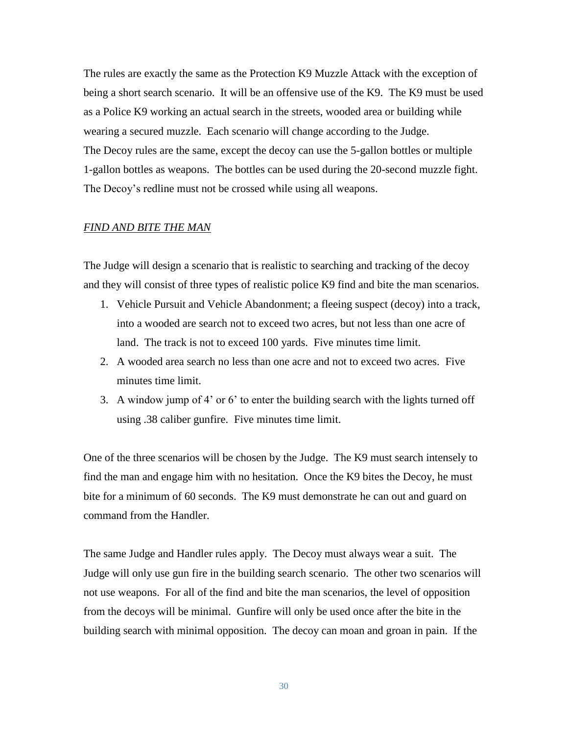The rules are exactly the same as the Protection K9 Muzzle Attack with the exception of being a short search scenario. It will be an offensive use of the K9. The K9 must be used as a Police K9 working an actual search in the streets, wooded area or building while wearing a secured muzzle. Each scenario will change according to the Judge. The Decoy rules are the same, except the decoy can use the 5-gallon bottles or multiple 1-gallon bottles as weapons. The bottles can be used during the 20-second muzzle fight. The Decoy's redline must not be crossed while using all weapons.

#### *FIND AND BITE THE MAN*

The Judge will design a scenario that is realistic to searching and tracking of the decoy and they will consist of three types of realistic police K9 find and bite the man scenarios.

- 1. Vehicle Pursuit and Vehicle Abandonment; a fleeing suspect (decoy) into a track, into a wooded are search not to exceed two acres, but not less than one acre of land. The track is not to exceed 100 yards. Five minutes time limit.
- 2. A wooded area search no less than one acre and not to exceed two acres. Five minutes time limit.
- 3. A window jump of 4' or 6' to enter the building search with the lights turned off using .38 caliber gunfire. Five minutes time limit.

One of the three scenarios will be chosen by the Judge. The K9 must search intensely to find the man and engage him with no hesitation. Once the K9 bites the Decoy, he must bite for a minimum of 60 seconds. The K9 must demonstrate he can out and guard on command from the Handler.

The same Judge and Handler rules apply. The Decoy must always wear a suit. The Judge will only use gun fire in the building search scenario. The other two scenarios will not use weapons. For all of the find and bite the man scenarios, the level of opposition from the decoys will be minimal. Gunfire will only be used once after the bite in the building search with minimal opposition. The decoy can moan and groan in pain. If the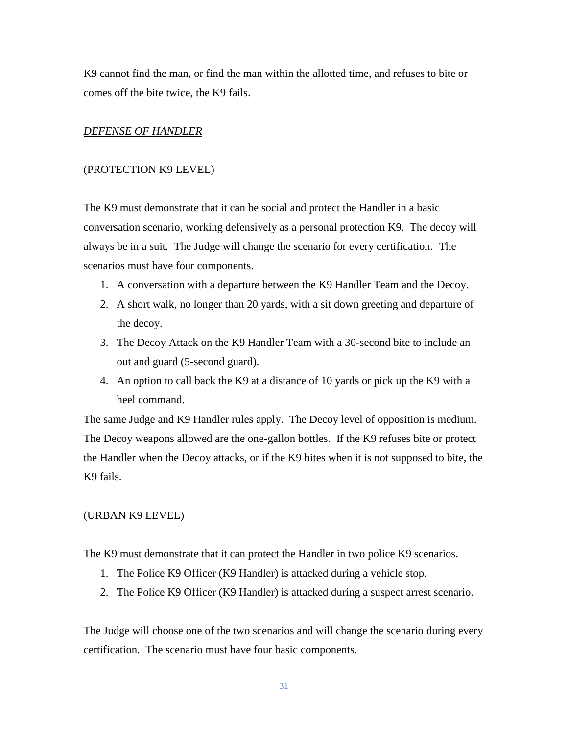K9 cannot find the man, or find the man within the allotted time, and refuses to bite or comes off the bite twice, the K9 fails.

## *DEFENSE OF HANDLER*

#### (PROTECTION K9 LEVEL)

The K9 must demonstrate that it can be social and protect the Handler in a basic conversation scenario, working defensively as a personal protection K9. The decoy will always be in a suit. The Judge will change the scenario for every certification. The scenarios must have four components.

- 1. A conversation with a departure between the K9 Handler Team and the Decoy.
- 2. A short walk, no longer than 20 yards, with a sit down greeting and departure of the decoy.
- 3. The Decoy Attack on the K9 Handler Team with a 30-second bite to include an out and guard (5-second guard).
- 4. An option to call back the K9 at a distance of 10 yards or pick up the K9 with a heel command.

The same Judge and K9 Handler rules apply. The Decoy level of opposition is medium. The Decoy weapons allowed are the one-gallon bottles. If the K9 refuses bite or protect the Handler when the Decoy attacks, or if the K9 bites when it is not supposed to bite, the K9 fails.

#### (URBAN K9 LEVEL)

The K9 must demonstrate that it can protect the Handler in two police K9 scenarios.

- 1. The Police K9 Officer (K9 Handler) is attacked during a vehicle stop.
- 2. The Police K9 Officer (K9 Handler) is attacked during a suspect arrest scenario.

The Judge will choose one of the two scenarios and will change the scenario during every certification. The scenario must have four basic components.